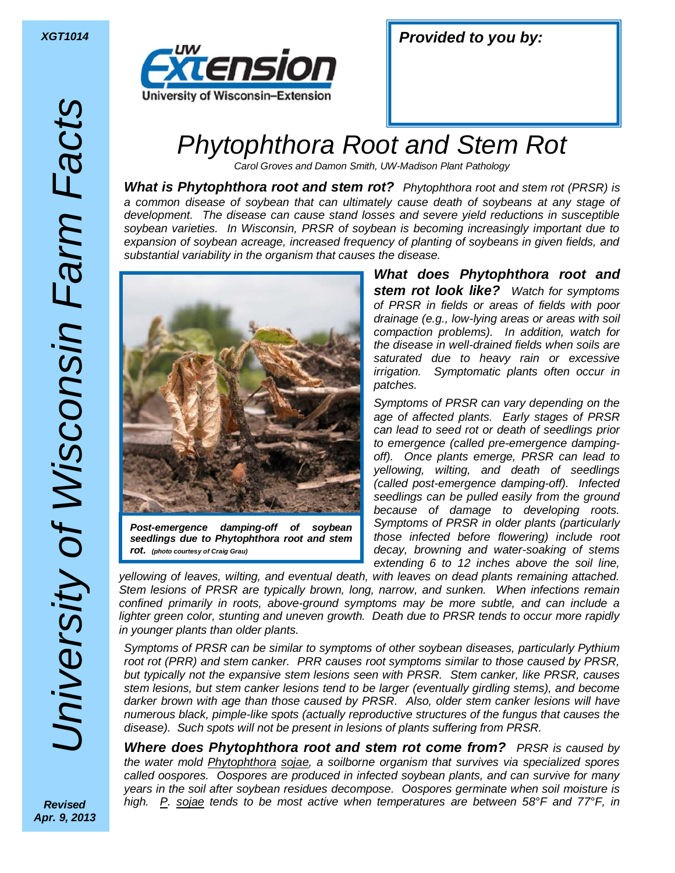

| <b>Provided to you by:</b><br><b>XGT1014</b> |  |  |  |
|----------------------------------------------|--|--|--|
|----------------------------------------------|--|--|--|

## Phytophthora Root and Stem Rot

Carol Groves and Damon Smith, UW-Madison Plant Pathology

**What is Phytophthora root and stem rot?** Phytophthora root and stem rot (PRSR) is a common disease of soybean that can ultimately cause death of soybeans at any stage of development. The disease can cause stand losses and severe yield reductions in susceptible soybean varieties. In Wisconsin, PRSR of soybean is becoming increasingly important due to expansion of soybean acreage, increased frequency of planting of soybeans in given fields, and substantial variability in the organism that causes the disease.



*Post-emergence damping-off of soybean seedlings due to Phytophthora root and stem rot. (photo courtesy of Craig Grau)*

*What does Phytophthora root and stem rot look like?* Watch for symptoms of PRSR in fields or areas of fields with poor drainage (e.g., low-lying areas or areas with soil compaction problems). In addition, watch for the disease in well-drained fields when soils are saturated due to heavy rain or excessive irrigation. Symptomatic plants often occur in patches.

Symptoms of PRSR can vary depending on the age of affected plants. Early stages of PRSR can lead to seed rot or death of seedlings prior to emergence (called pre-emergence dampingoff). Once plants emerge, PRSR can lead to yellowing, wilting, and death of seedlings (called post-emergence damping-off). Infected seedlings can be pulled easily from the ground because of damage to developing roots. Symptoms of PRSR in older plants (particularly those infected before flowering) include root decay, browning and water-soaking of stems extending 6 to 12 inches above the soil line,

yellowing of leaves, wilting, and eventual death, with leaves on dead plants remaining attached. Stem lesions of PRSR are typically brown, long, narrow, and sunken. When infections remain confined primarily in roots, above-ground symptoms may be more subtle, and can include a lighter green color, stunting and uneven growth. Death due to PRSR tends to occur more rapidly in younger plants than older plants.

Symptoms of PRSR can be similar to symptoms of other soybean diseases, particularly Pythium root rot (PRR) and stem canker. PRR causes root symptoms similar to those caused by PRSR, but typically not the expansive stem lesions seen with PRSR. Stem canker, like PRSR, causes stem lesions, but stem canker lesions tend to be larger (eventually girdling stems), and become darker brown with age than those caused by PRSR. Also, older stem canker lesions will have numerous black, pimple-like spots (actually reproductive structures of the fungus that causes the disease). Such spots will not be present in lesions of plants suffering from PRSR.

**Where does Phytophthora root and stem rot come from?** PRSR is caused by the water mold Phytophthora sojae, a soilborne organism that survives via specialized spores called oospores. Oospores are produced in infected soybean plants, and can survive for many years in the soil after soybean residues decompose. Oospores germinate when soil moisture is high. P. sojae tends to be most active when temperatures are between 58°F and 77°F, in

*Revised Apr. 9, 2013*